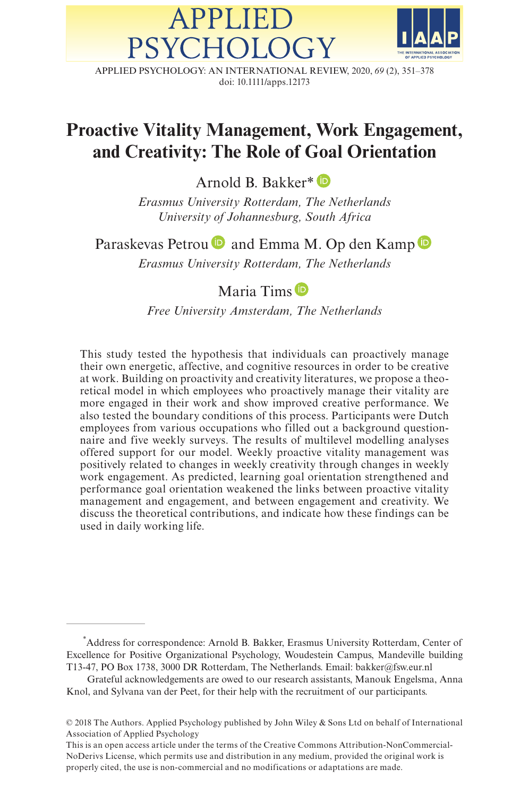

APPLIED PSYCHOLOGY: AN INTERNATIONAL REVIEW, 2020, *69* (2), 351–378 doi: 10.1111/apps.12173

**APPLIED** 

PSYCHOLOGY

# **Proactive Vitality Management, Work Engagement, and Creativity: The Role of Goal Orientation**

Arnold B. Bakker\*

*Erasmus University Rotterdam, The Netherlands University of Johannesburg, South Africa*

Paraskevas Petro[u](http://orcid.org/0000-0003-1585-0852) **D** and Emma M. O[p](http://orcid.org/0000-0001-8377-0251) den Kamp

*Erasmus University Rotterdam, The Netherlands*

## Maria Tim[s](http://orcid.org/0000-0002-9588-4333)<sup>D</sup>

*Free University Amsterdam, The Netherlands*

This study tested the hypothesis that individuals can proactively manage their own energetic, affective, and cognitive resources in order to be creative at work. Building on proactivity and creativity literatures, we propose a theoretical model in which employees who proactively manage their vitality are more engaged in their work and show improved creative performance. We also tested the boundary conditions of this process. Participants were Dutch employees from various occupations who filled out a background questionnaire and five weekly surveys. The results of multilevel modelling analyses offered support for our model. Weekly proactive vitality management was positively related to changes in weekly creativity through changes in weekly work engagement. As predicted, learning goal orientation strengthened and performance goal orientation weakened the links between proactive vitality management and engagement, and between engagement and creativity. We discuss the theoretical contributions, and indicate how these findings can be used in daily working life.

 <sup>\*</sup>Address for correspondence: Arnold B. Bakker, Erasmus University Rotterdam, Center of Excellence for Positive Organizational Psychology, Woudestein Campus, Mandeville building T13-47, PO Box 1738, 3000 DR Rotterdam, The Netherlands. Email: [bakker@fsw.eur.nl](mailto:bakker@fsw.eur.nl)

Grateful acknowledgements are owed to our research assistants, Manouk Engelsma, Anna Knol, and Sylvana van der Peet, for their help with the recruitment of our participants.

<sup>© 2018</sup> The Authors. Applied Psychology published by John Wiley & Sons Ltd on behalf of International Association of Applied Psychology

This is an open access article under the terms of the Creative Commons Attribution-NonCommercial-NoDerivs License, which permits use and distribution in any medium, provided the original work is properly cited, the use is non-commercial and no modifications or adaptations are made.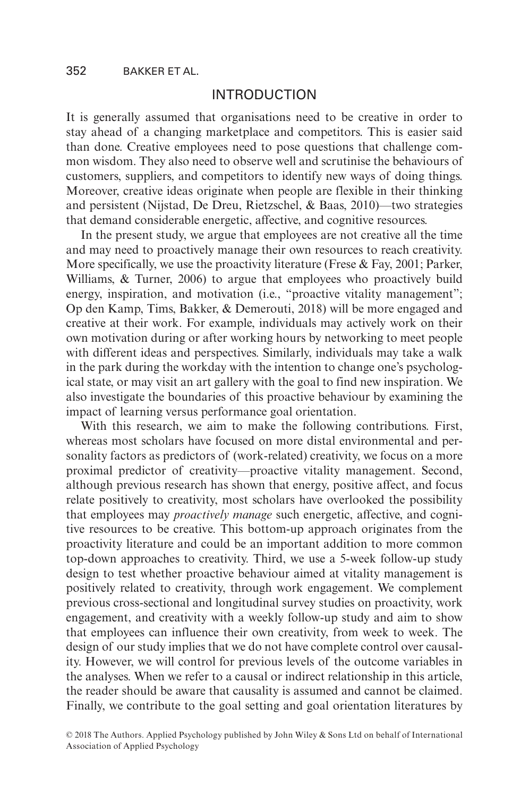### INTRODUCTION

It is generally assumed that organisations need to be creative in order to stay ahead of a changing marketplace and competitors. This is easier said than done. Creative employees need to pose questions that challenge common wisdom. They also need to observe well and scrutinise the behaviours of customers, suppliers, and competitors to identify new ways of doing things. Moreover, creative ideas originate when people are flexible in their thinking and persistent (Nijstad, De Dreu, Rietzschel, & Baas, 2010)—two strategies that demand considerable energetic, affective, and cognitive resources.

In the present study, we argue that employees are not creative all the time and may need to proactively manage their own resources to reach creativity. More specifically, we use the proactivity literature (Frese & Fay, 2001; Parker, Williams, & Turner, 2006) to argue that employees who proactively build energy, inspiration, and motivation (i.e., "proactive vitality management"; Op den Kamp, Tims, Bakker, & Demerouti, 2018) will be more engaged and creative at their work. For example, individuals may actively work on their own motivation during or after working hours by networking to meet people with different ideas and perspectives. Similarly, individuals may take a walk in the park during the workday with the intention to change one's psychological state, or may visit an art gallery with the goal to find new inspiration. We also investigate the boundaries of this proactive behaviour by examining the impact of learning versus performance goal orientation.

With this research, we aim to make the following contributions. First, whereas most scholars have focused on more distal environmental and personality factors as predictors of (work-related) creativity, we focus on a more proximal predictor of creativity—proactive vitality management. Second, although previous research has shown that energy, positive affect, and focus relate positively to creativity, most scholars have overlooked the possibility that employees may *proactively manage* such energetic, affective, and cognitive resources to be creative. This bottom-up approach originates from the proactivity literature and could be an important addition to more common top-down approaches to creativity. Third, we use a 5-week follow-up study design to test whether proactive behaviour aimed at vitality management is positively related to creativity, through work engagement. We complement previous cross-sectional and longitudinal survey studies on proactivity, work engagement, and creativity with a weekly follow-up study and aim to show that employees can influence their own creativity, from week to week. The design of our study implies that we do not have complete control over causality. However, we will control for previous levels of the outcome variables in the analyses. When we refer to a causal or indirect relationship in this article, the reader should be aware that causality is assumed and cannot be claimed. Finally, we contribute to the goal setting and goal orientation literatures by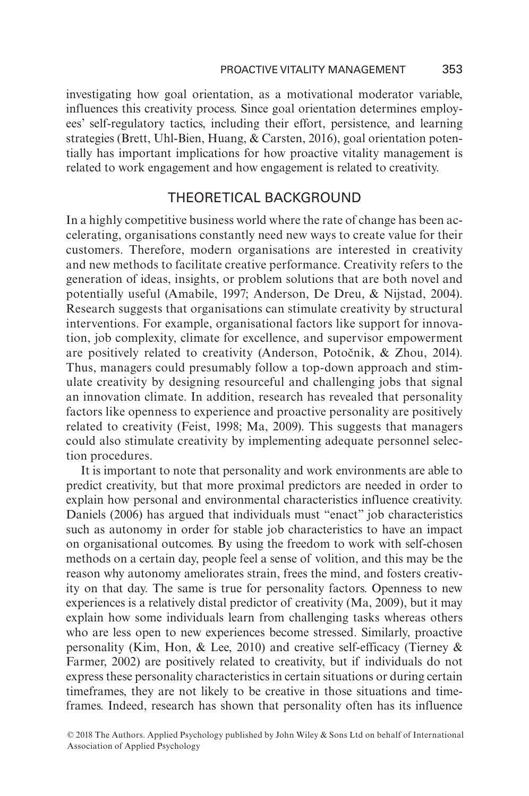investigating how goal orientation, as a motivational moderator variable, influences this creativity process. Since goal orientation determines employees' self-regulatory tactics, including their effort, persistence, and learning strategies (Brett, Uhl-Bien, Huang, & Carsten, 2016), goal orientation potentially has important implications for how proactive vitality management is related to work engagement and how engagement is related to creativity.

### THEORETICAL BACKGROUND

In a highly competitive business world where the rate of change has been accelerating, organisations constantly need new ways to create value for their customers. Therefore, modern organisations are interested in creativity and new methods to facilitate creative performance. Creativity refers to the generation of ideas, insights, or problem solutions that are both novel and potentially useful (Amabile, 1997; Anderson, De Dreu, & Nijstad, 2004). Research suggests that organisations can stimulate creativity by structural interventions. For example, organisational factors like support for innovation, job complexity, climate for excellence, and supervisor empowerment are positively related to creativity (Anderson, Potočnik, & Zhou, 2014). Thus, managers could presumably follow a top-down approach and stimulate creativity by designing resourceful and challenging jobs that signal an innovation climate. In addition, research has revealed that personality factors like openness to experience and proactive personality are positively related to creativity (Feist, 1998; Ma, 2009). This suggests that managers could also stimulate creativity by implementing adequate personnel selection procedures.

It is important to note that personality and work environments are able to predict creativity, but that more proximal predictors are needed in order to explain how personal and environmental characteristics influence creativity. Daniels (2006) has argued that individuals must "enact" job characteristics such as autonomy in order for stable job characteristics to have an impact on organisational outcomes. By using the freedom to work with self-chosen methods on a certain day, people feel a sense of volition, and this may be the reason why autonomy ameliorates strain, frees the mind, and fosters creativity on that day. The same is true for personality factors. Openness to new experiences is a relatively distal predictor of creativity (Ma, 2009), but it may explain how some individuals learn from challenging tasks whereas others who are less open to new experiences become stressed. Similarly, proactive personality (Kim, Hon, & Lee, 2010) and creative self-efficacy (Tierney & Farmer, 2002) are positively related to creativity, but if individuals do not express these personality characteristics in certain situations or during certain timeframes, they are not likely to be creative in those situations and timeframes. Indeed, research has shown that personality often has its influence

<sup>© 2018</sup> The Authors. Applied Psychology published by John Wiley & Sons Ltd on behalf of International Association of Applied Psychology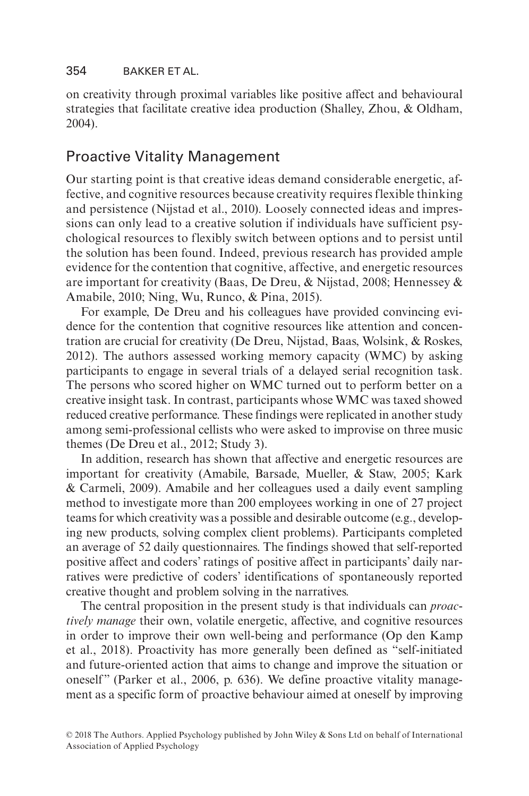on creativity through proximal variables like positive affect and behavioural strategies that facilitate creative idea production (Shalley, Zhou, & Oldham, 2004).

## Proactive Vitality Management

Our starting point is that creative ideas demand considerable energetic, affective, and cognitive resources because creativity requires flexible thinking and persistence (Nijstad et al., 2010). Loosely connected ideas and impressions can only lead to a creative solution if individuals have sufficient psychological resources to flexibly switch between options and to persist until the solution has been found. Indeed, previous research has provided ample evidence for the contention that cognitive, affective, and energetic resources are important for creativity (Baas, De Dreu, & Nijstad, 2008; Hennessey & Amabile, 2010; Ning, Wu, Runco, & Pina, 2015).

For example, De Dreu and his colleagues have provided convincing evidence for the contention that cognitive resources like attention and concentration are crucial for creativity (De Dreu, Nijstad, Baas, Wolsink, & Roskes, 2012). The authors assessed working memory capacity (WMC) by asking participants to engage in several trials of a delayed serial recognition task. The persons who scored higher on WMC turned out to perform better on a creative insight task. In contrast, participants whose WMC was taxed showed reduced creative performance. These findings were replicated in another study among semi-professional cellists who were asked to improvise on three music themes (De Dreu et al., 2012; Study 3).

In addition, research has shown that affective and energetic resources are important for creativity (Amabile, Barsade, Mueller, & Staw, 2005; Kark & Carmeli, 2009). Amabile and her colleagues used a daily event sampling method to investigate more than 200 employees working in one of 27 project teams for which creativity was a possible and desirable outcome (e.g., developing new products, solving complex client problems). Participants completed an average of 52 daily questionnaires. The findings showed that self-reported positive affect and coders' ratings of positive affect in participants' daily narratives were predictive of coders' identifications of spontaneously reported creative thought and problem solving in the narratives.

The central proposition in the present study is that individuals can *proactively manage* their own, volatile energetic, affective, and cognitive resources in order to improve their own well-being and performance (Op den Kamp et al., 2018). Proactivity has more generally been defined as "self-initiated and future-oriented action that aims to change and improve the situation or oneself" (Parker et al., 2006, p. 636). We define proactive vitality management as a specific form of proactive behaviour aimed at oneself by improving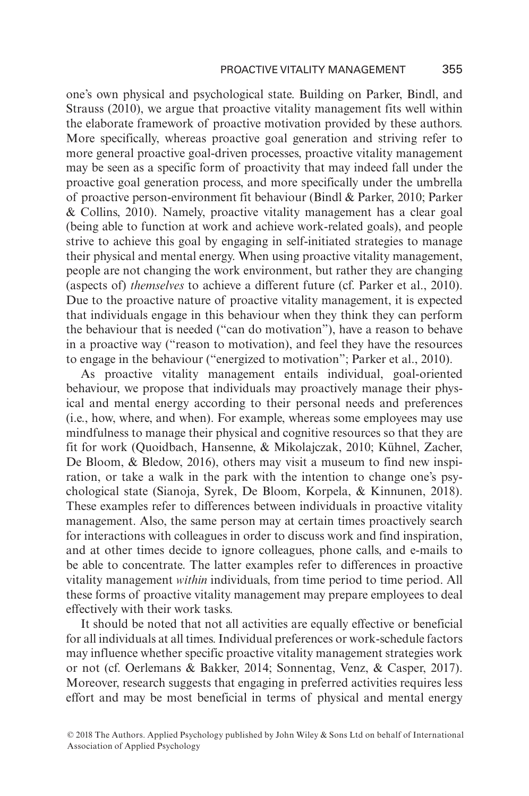one's own physical and psychological state. Building on Parker, Bindl, and Strauss (2010), we argue that proactive vitality management fits well within the elaborate framework of proactive motivation provided by these authors. More specifically, whereas proactive goal generation and striving refer to more general proactive goal-driven processes, proactive vitality management may be seen as a specific form of proactivity that may indeed fall under the proactive goal generation process, and more specifically under the umbrella of proactive person-environment fit behaviour (Bindl & Parker, 2010; Parker & Collins, 2010). Namely, proactive vitality management has a clear goal (being able to function at work and achieve work-related goals), and people strive to achieve this goal by engaging in self-initiated strategies to manage their physical and mental energy. When using proactive vitality management, people are not changing the work environment, but rather they are changing (aspects of) *themselves* to achieve a different future (cf. Parker et al., 2010). Due to the proactive nature of proactive vitality management, it is expected that individuals engage in this behaviour when they think they can perform the behaviour that is needed ("can do motivation"), have a reason to behave in a proactive way ("reason to motivation), and feel they have the resources to engage in the behaviour ("energized to motivation"; Parker et al., 2010).

As proactive vitality management entails individual, goal-oriented behaviour, we propose that individuals may proactively manage their physical and mental energy according to their personal needs and preferences (i.e., how, where, and when). For example, whereas some employees may use mindfulness to manage their physical and cognitive resources so that they are fit for work (Quoidbach, Hansenne, & Mikolajczak, 2010; Kühnel, Zacher, De Bloom, & Bledow, 2016), others may visit a museum to find new inspiration, or take a walk in the park with the intention to change one's psychological state (Sianoja, Syrek, De Bloom, Korpela, & Kinnunen, 2018). These examples refer to differences between individuals in proactive vitality management. Also, the same person may at certain times proactively search for interactions with colleagues in order to discuss work and find inspiration, and at other times decide to ignore colleagues, phone calls, and e-mails to be able to concentrate. The latter examples refer to differences in proactive vitality management *within* individuals, from time period to time period. All these forms of proactive vitality management may prepare employees to deal effectively with their work tasks.

It should be noted that not all activities are equally effective or beneficial for all individuals at all times. Individual preferences or work-schedule factors may influence whether specific proactive vitality management strategies work or not (cf. Oerlemans & Bakker, 2014; Sonnentag, Venz, & Casper, 2017). Moreover, research suggests that engaging in preferred activities requires less effort and may be most beneficial in terms of physical and mental energy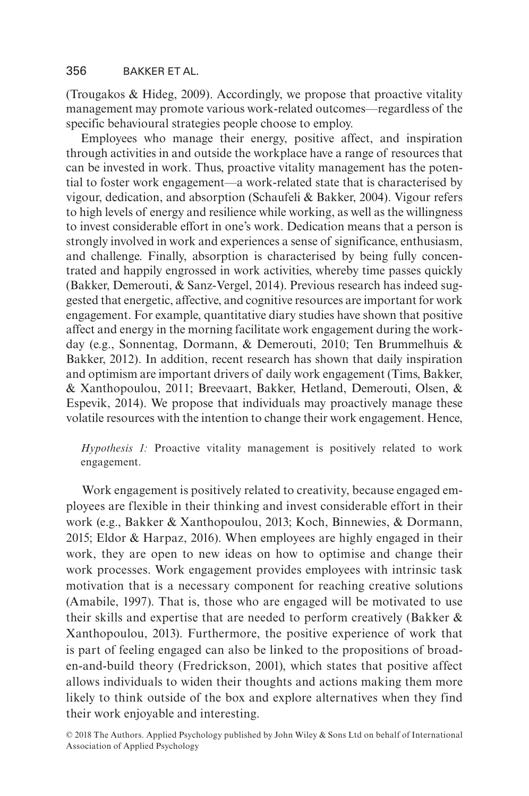(Trougakos & Hideg, 2009). Accordingly, we propose that proactive vitality management may promote various work-related outcomes—regardless of the specific behavioural strategies people choose to employ.

Employees who manage their energy, positive affect, and inspiration through activities in and outside the workplace have a range of resources that can be invested in work. Thus, proactive vitality management has the potential to foster work engagement—a work-related state that is characterised by vigour, dedication, and absorption (Schaufeli & Bakker, 2004). Vigour refers to high levels of energy and resilience while working, as well as the willingness to invest considerable effort in one's work. Dedication means that a person is strongly involved in work and experiences a sense of significance, enthusiasm, and challenge. Finally, absorption is characterised by being fully concentrated and happily engrossed in work activities, whereby time passes quickly (Bakker, Demerouti, & Sanz-Vergel, 2014). Previous research has indeed suggested that energetic, affective, and cognitive resources are important for work engagement. For example, quantitative diary studies have shown that positive affect and energy in the morning facilitate work engagement during the workday (e.g., Sonnentag, Dormann, & Demerouti, 2010; Ten Brummelhuis & Bakker, 2012). In addition, recent research has shown that daily inspiration and optimism are important drivers of daily work engagement (Tims, Bakker, & Xanthopoulou, 2011; Breevaart, Bakker, Hetland, Demerouti, Olsen, & Espevik, 2014). We propose that individuals may proactively manage these volatile resources with the intention to change their work engagement. Hence,

#### *Hypothesis 1:* Proactive vitality management is positively related to work engagement.

Work engagement is positively related to creativity, because engaged employees are flexible in their thinking and invest considerable effort in their work (e.g., Bakker & Xanthopoulou, 2013; Koch, Binnewies, & Dormann, 2015; Eldor & Harpaz, 2016). When employees are highly engaged in their work, they are open to new ideas on how to optimise and change their work processes. Work engagement provides employees with intrinsic task motivation that is a necessary component for reaching creative solutions (Amabile, 1997). That is, those who are engaged will be motivated to use their skills and expertise that are needed to perform creatively (Bakker & Xanthopoulou, 2013). Furthermore, the positive experience of work that is part of feeling engaged can also be linked to the propositions of broaden-and-build theory (Fredrickson, 2001), which states that positive affect allows individuals to widen their thoughts and actions making them more likely to think outside of the box and explore alternatives when they find their work enjoyable and interesting.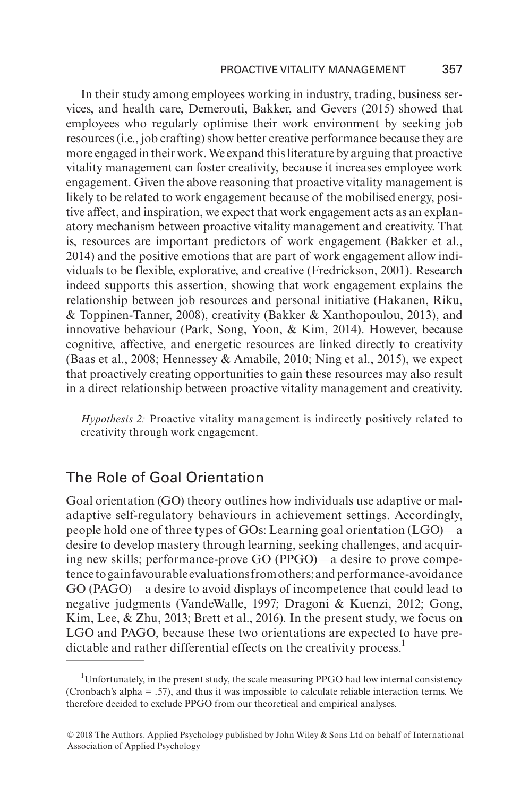In their study among employees working in industry, trading, business services, and health care, Demerouti, Bakker, and Gevers (2015) showed that employees who regularly optimise their work environment by seeking job resources (i.e., job crafting) show better creative performance because they are more engaged in their work. We expand this literature by arguing that proactive vitality management can foster creativity, because it increases employee work engagement. Given the above reasoning that proactive vitality management is likely to be related to work engagement because of the mobilised energy, positive affect, and inspiration, we expect that work engagement acts as an explanatory mechanism between proactive vitality management and creativity. That is, resources are important predictors of work engagement (Bakker et al., 2014) and the positive emotions that are part of work engagement allow individuals to be flexible, explorative, and creative (Fredrickson, 2001). Research indeed supports this assertion, showing that work engagement explains the relationship between job resources and personal initiative (Hakanen, Riku, & Toppinen-Tanner, 2008), creativity (Bakker & Xanthopoulou, 2013), and innovative behaviour (Park, Song, Yoon, & Kim, 2014). However, because cognitive, affective, and energetic resources are linked directly to creativity (Baas et al., 2008; Hennessey & Amabile, 2010; Ning et al., 2015), we expect that proactively creating opportunities to gain these resources may also result in a direct relationship between proactive vitality management and creativity.

*Hypothesis 2:* Proactive vitality management is indirectly positively related to creativity through work engagement.

## The Role of Goal Orientation

Goal orientation (GO) theory outlines how individuals use adaptive or maladaptive self-regulatory behaviours in achievement settings. Accordingly, people hold one of three types of GOs: Learning goal orientation (LGO)—a desire to develop mastery through learning, seeking challenges, and acquiring new skills; performance-prove GO (PPGO)—a desire to prove competence to gain favourable evaluations from others; and performance-avoidance GO (PAGO)—a desire to avoid displays of incompetence that could lead to negative judgments (VandeWalle, 1997; Dragoni & Kuenzi, 2012; Gong, Kim, Lee, & Zhu, 2013; Brett et al., 2016). In the present study, we focus on LGO and PAGO, because these two orientations are expected to have predictable and rather differential effects on the creativity process.<sup>1</sup>

<sup>&</sup>lt;sup>1</sup>Unfortunately, in the present study, the scale measuring PPGO had low internal consistency (Cronbach's alpha = .57), and thus it was impossible to calculate reliable interaction terms. We therefore decided to exclude PPGO from our theoretical and empirical analyses.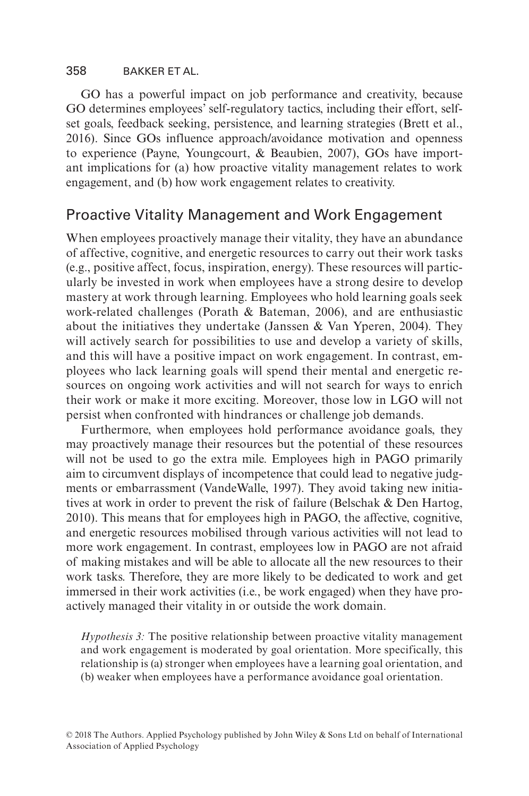GO has a powerful impact on job performance and creativity, because GO determines employees' self-regulatory tactics, including their effort, selfset goals, feedback seeking, persistence, and learning strategies (Brett et al., 2016). Since GOs influence approach/avoidance motivation and openness to experience (Payne, Youngcourt, & Beaubien, 2007), GOs have important implications for (a) how proactive vitality management relates to work engagement, and (b) how work engagement relates to creativity.

## Proactive Vitality Management and Work Engagement

When employees proactively manage their vitality, they have an abundance of affective, cognitive, and energetic resources to carry out their work tasks (e.g., positive affect, focus, inspiration, energy). These resources will particularly be invested in work when employees have a strong desire to develop mastery at work through learning. Employees who hold learning goals seek work-related challenges (Porath & Bateman, 2006), and are enthusiastic about the initiatives they undertake (Janssen & Van Yperen, 2004). They will actively search for possibilities to use and develop a variety of skills, and this will have a positive impact on work engagement. In contrast, employees who lack learning goals will spend their mental and energetic resources on ongoing work activities and will not search for ways to enrich their work or make it more exciting. Moreover, those low in LGO will not persist when confronted with hindrances or challenge job demands.

Furthermore, when employees hold performance avoidance goals, they may proactively manage their resources but the potential of these resources will not be used to go the extra mile. Employees high in PAGO primarily aim to circumvent displays of incompetence that could lead to negative judgments or embarrassment (VandeWalle, 1997). They avoid taking new initiatives at work in order to prevent the risk of failure (Belschak & Den Hartog, 2010). This means that for employees high in PAGO, the affective, cognitive, and energetic resources mobilised through various activities will not lead to more work engagement. In contrast, employees low in PAGO are not afraid of making mistakes and will be able to allocate all the new resources to their work tasks. Therefore, they are more likely to be dedicated to work and get immersed in their work activities (i.e., be work engaged) when they have proactively managed their vitality in or outside the work domain.

*Hypothesis 3:* The positive relationship between proactive vitality management and work engagement is moderated by goal orientation. More specifically, this relationship is (a) stronger when employees have a learning goal orientation, and (b) weaker when employees have a performance avoidance goal orientation.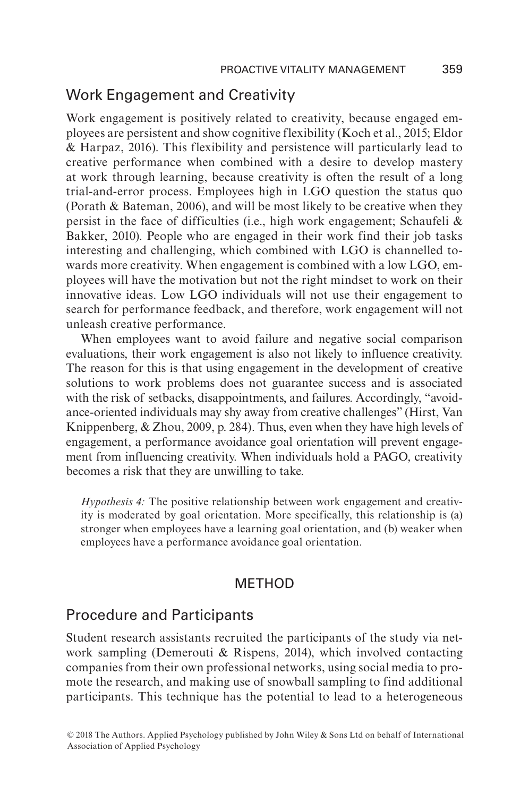## Work Engagement and Creativity

Work engagement is positively related to creativity, because engaged employees are persistent and show cognitive flexibility (Koch et al., 2015; Eldor & Harpaz, 2016). This flexibility and persistence will particularly lead to creative performance when combined with a desire to develop mastery at work through learning, because creativity is often the result of a long trial-and-error process. Employees high in LGO question the status quo (Porath & Bateman, 2006), and will be most likely to be creative when they persist in the face of difficulties (i.e., high work engagement; Schaufeli  $\&$ Bakker, 2010). People who are engaged in their work find their job tasks interesting and challenging, which combined with LGO is channelled towards more creativity. When engagement is combined with a low LGO, employees will have the motivation but not the right mindset to work on their innovative ideas. Low LGO individuals will not use their engagement to search for performance feedback, and therefore, work engagement will not unleash creative performance.

When employees want to avoid failure and negative social comparison evaluations, their work engagement is also not likely to influence creativity. The reason for this is that using engagement in the development of creative solutions to work problems does not guarantee success and is associated with the risk of setbacks, disappointments, and failures. Accordingly, "avoidance-oriented individuals may shy away from creative challenges" (Hirst, Van Knippenberg, & Zhou, 2009, p. 284). Thus, even when they have high levels of engagement, a performance avoidance goal orientation will prevent engagement from influencing creativity. When individuals hold a PAGO, creativity becomes a risk that they are unwilling to take.

*Hypothesis 4:* The positive relationship between work engagement and creativity is moderated by goal orientation. More specifically, this relationship is (a) stronger when employees have a learning goal orientation, and (b) weaker when employees have a performance avoidance goal orientation.

### METHOD

## Procedure and Participants

Student research assistants recruited the participants of the study via network sampling (Demerouti & Rispens, 2014), which involved contacting companies from their own professional networks, using social media to promote the research, and making use of snowball sampling to find additional participants. This technique has the potential to lead to a heterogeneous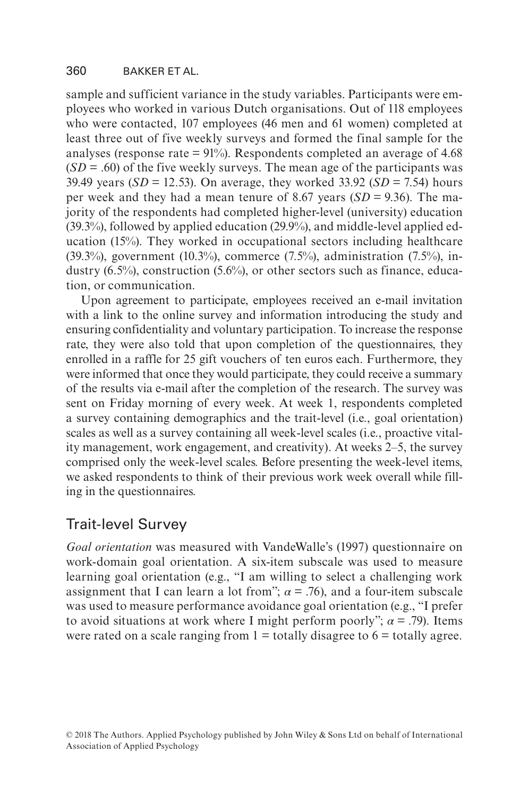sample and sufficient variance in the study variables. Participants were employees who worked in various Dutch organisations. Out of 118 employees who were contacted, 107 employees (46 men and 61 women) completed at least three out of five weekly surveys and formed the final sample for the analyses (response rate  $= 91\%$ ). Respondents completed an average of 4.68  $(SD = .60)$  of the five weekly surveys. The mean age of the participants was 39.49 years (*SD* = 12.53). On average, they worked 33.92 (*SD* = 7.54) hours per week and they had a mean tenure of 8.67 years (*SD* = 9.36). The majority of the respondents had completed higher-level (university) education (39.3%), followed by applied education (29.9%), and middle-level applied education (15%). They worked in occupational sectors including healthcare (39.3%), government (10.3%), commerce (7.5%), administration (7.5%), industry (6.5%), construction (5.6%), or other sectors such as finance, education, or communication.

Upon agreement to participate, employees received an e-mail invitation with a link to the online survey and information introducing the study and ensuring confidentiality and voluntary participation. To increase the response rate, they were also told that upon completion of the questionnaires, they enrolled in a raffle for 25 gift vouchers of ten euros each. Furthermore, they were informed that once they would participate, they could receive a summary of the results via e-mail after the completion of the research. The survey was sent on Friday morning of every week. At week 1, respondents completed a survey containing demographics and the trait-level (i.e., goal orientation) scales as well as a survey containing all week-level scales (i.e., proactive vitality management, work engagement, and creativity). At weeks 2–5, the survey comprised only the week-level scales. Before presenting the week-level items, we asked respondents to think of their previous work week overall while filling in the questionnaires.

## Trait-level Survey

*Goal orientation* was measured with VandeWalle's (1997) questionnaire on work-domain goal orientation. A six-item subscale was used to measure learning goal orientation (e.g., "I am willing to select a challenging work assignment that I can learn a lot from";  $\alpha$  = .76), and a four-item subscale was used to measure performance avoidance goal orientation (e.g., "I prefer to avoid situations at work where I might perform poorly";  $\alpha$  = .79). Items were rated on a scale ranging from  $1 =$  totally disagree to  $6 =$  totally agree.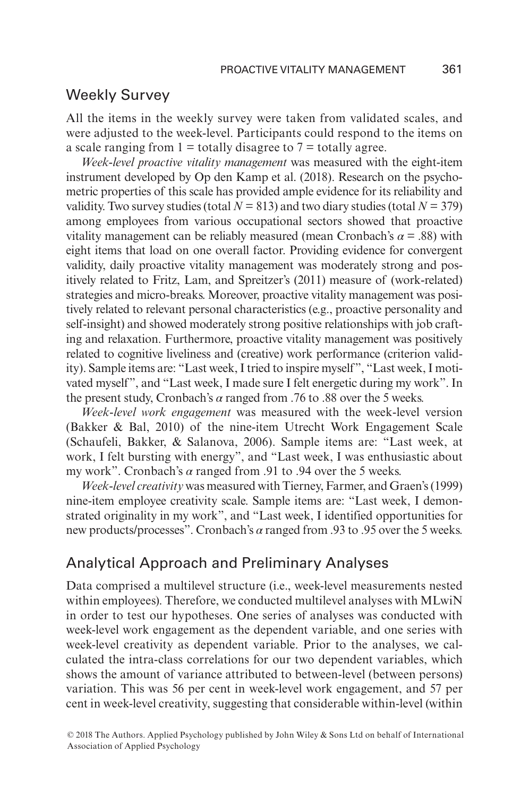## Weekly Survey

All the items in the weekly survey were taken from validated scales, and were adjusted to the week-level. Participants could respond to the items on a scale ranging from  $1 =$  totally disagree to  $7 =$  totally agree.

*Week-level proactive vitality management* was measured with the eight-item instrument developed by Op den Kamp et al. (2018). Research on the psychometric properties of this scale has provided ample evidence for its reliability and validity. Two survey studies (total  $N = 813$ ) and two diary studies (total  $N = 379$ ) among employees from various occupational sectors showed that proactive vitality management can be reliably measured (mean Cronbach's  $\alpha$  = .88) with eight items that load on one overall factor. Providing evidence for convergent validity, daily proactive vitality management was moderately strong and positively related to Fritz, Lam, and Spreitzer's (2011) measure of (work-related) strategies and micro-breaks. Moreover, proactive vitality management was positively related to relevant personal characteristics (e.g., proactive personality and self-insight) and showed moderately strong positive relationships with job crafting and relaxation. Furthermore, proactive vitality management was positively related to cognitive liveliness and (creative) work performance (criterion validity). Sample items are: "Last week, I tried to inspire myself", "Last week, I motivated myself", and "Last week, I made sure I felt energetic during my work". In the present study, Cronbach's *α* ranged from .76 to .88 over the 5 weeks.

*Week-level work engagement* was measured with the week-level version (Bakker & Bal, 2010) of the nine-item Utrecht Work Engagement Scale (Schaufeli, Bakker, & Salanova, 2006). Sample items are: "Last week, at work, I felt bursting with energy", and "Last week, I was enthusiastic about my work". Cronbach's  $\alpha$  ranged from .91 to .94 over the 5 weeks.

*Week-level creativity* was measured with Tierney, Farmer, and Graen's (1999) nine-item employee creativity scale. Sample items are: "Last week, I demonstrated originality in my work", and "Last week, I identified opportunities for new products/processes". Cronbach's *α* ranged from .93 to .95 over the 5 weeks.

## Analytical Approach and Preliminary Analyses

Data comprised a multilevel structure (i.e., week-level measurements nested within employees). Therefore, we conducted multilevel analyses with MLwiN in order to test our hypotheses. One series of analyses was conducted with week-level work engagement as the dependent variable, and one series with week-level creativity as dependent variable. Prior to the analyses, we calculated the intra-class correlations for our two dependent variables, which shows the amount of variance attributed to between-level (between persons) variation. This was 56 per cent in week-level work engagement, and 57 per cent in week-level creativity, suggesting that considerable within-level (within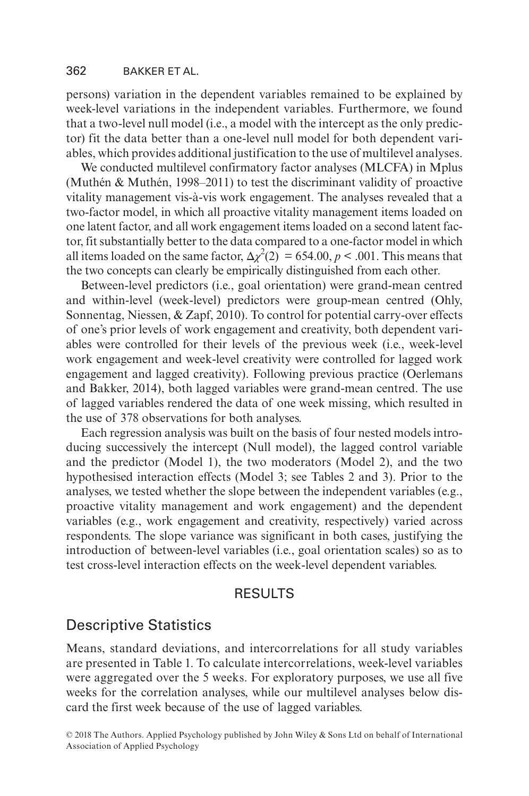persons) variation in the dependent variables remained to be explained by week-level variations in the independent variables. Furthermore, we found that a two-level null model (i.e., a model with the intercept as the only predictor) fit the data better than a one-level null model for both dependent variables, which provides additional justification to the use of multilevel analyses.

We conducted multilevel confirmatory factor analyses (MLCFA) in Mplus (Muthén & Muthén, 1998–2011) to test the discriminant validity of proactive vitality management vis-à-vis work engagement. The analyses revealed that a two-factor model, in which all proactive vitality management items loaded on one latent factor, and all work engagement items loaded on a second latent factor, fit substantially better to the data compared to a one-factor model in which all items loaded on the same factor,  $\Delta \chi^2(2) = 654.00, p < .001$ . This means that the two concepts can clearly be empirically distinguished from each other.

Between-level predictors (i.e., goal orientation) were grand-mean centred and within-level (week-level) predictors were group-mean centred (Ohly, Sonnentag, Niessen, & Zapf, 2010). To control for potential carry-over effects of one's prior levels of work engagement and creativity, both dependent variables were controlled for their levels of the previous week (i.e., week-level work engagement and week-level creativity were controlled for lagged work engagement and lagged creativity). Following previous practice (Oerlemans and Bakker, 2014), both lagged variables were grand-mean centred. The use of lagged variables rendered the data of one week missing, which resulted in the use of 378 observations for both analyses.

Each regression analysis was built on the basis of four nested models introducing successively the intercept (Null model), the lagged control variable and the predictor (Model 1), the two moderators (Model 2), and the two hypothesised interaction effects (Model 3; see Tables 2 and 3). Prior to the analyses, we tested whether the slope between the independent variables (e.g., proactive vitality management and work engagement) and the dependent variables (e.g., work engagement and creativity, respectively) varied across respondents. The slope variance was significant in both cases, justifying the introduction of between-level variables (i.e., goal orientation scales) so as to test cross-level interaction effects on the week-level dependent variables.

## RESULTS

## Descriptive Statistics

Means, standard deviations, and intercorrelations for all study variables are presented in Table 1. To calculate intercorrelations, week-level variables were aggregated over the 5 weeks. For exploratory purposes, we use all five weeks for the correlation analyses, while our multilevel analyses below discard the first week because of the use of lagged variables.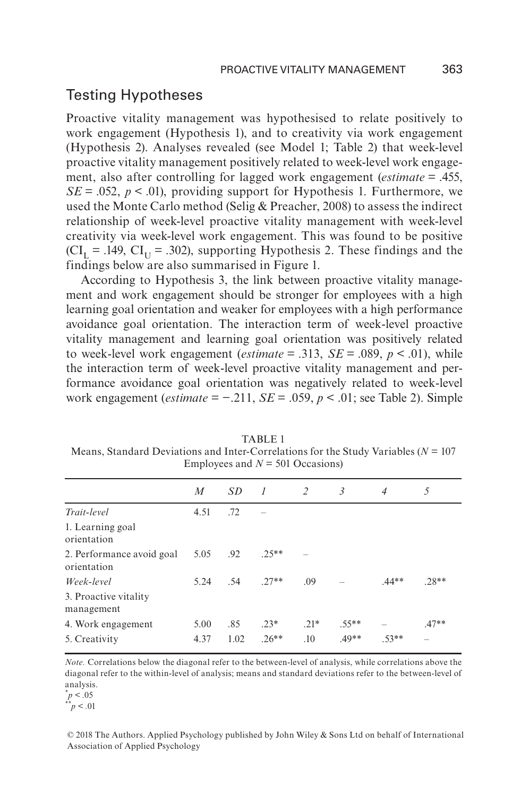## Testing Hypotheses

Proactive vitality management was hypothesised to relate positively to work engagement (Hypothesis 1), and to creativity via work engagement (Hypothesis 2). Analyses revealed (see Model 1; Table 2) that week-level proactive vitality management positively related to week-level work engagement, also after controlling for lagged work engagement (*estimate* = .455, *SE* = .052,  $p < .01$ , providing support for Hypothesis 1. Furthermore, we used the Monte Carlo method (Selig & Preacher, 2008) to assess the indirect relationship of week-level proactive vitality management with week-level creativity via week-level work engagement. This was found to be positive  $(Cl<sub>I</sub> = .149, Cl<sub>I</sub> = .302),$  supporting Hypothesis 2. These findings and the findings below are also summarised in Figure 1.

According to Hypothesis 3, the link between proactive vitality management and work engagement should be stronger for employees with a high learning goal orientation and weaker for employees with a high performance avoidance goal orientation. The interaction term of week-level proactive vitality management and learning goal orientation was positively related to week-level work engagement (*estimate* = .313,  $SE = .089$ ,  $p < .01$ ), while the interaction term of week-level proactive vitality management and performance avoidance goal orientation was negatively related to week-level work engagement (*estimate* = −.211, *SE* = .059, *p* < .01; see Table 2). Simple

|                                          | $\boldsymbol{M}$ | SD.  | $\overline{I}$ | 2      | 3       | $\overline{4}$ | 5       |
|------------------------------------------|------------------|------|----------------|--------|---------|----------------|---------|
| Trait-level                              | 4.51             | .72  |                |        |         |                |         |
| 1. Learning goal<br>orientation          |                  |      |                |        |         |                |         |
| 2. Performance avoid goal<br>orientation | 5.05             | .92  | $25**$         |        |         |                |         |
| Week-level                               | 5.24             | .54  | $.27**$        | .09    |         | $.44**$        | $.28**$ |
| 3. Proactive vitality<br>management      |                  |      |                |        |         |                |         |
| 4. Work engagement                       | 5.00             | .85  | $.23*$         | $.21*$ | $.55**$ |                | $.47**$ |
| 5. Creativity                            | 4.37             | 1.02 | $.26**$        | .10    | $.49**$ | $.53**$        | -       |
|                                          |                  |      |                |        |         |                |         |

TABLE 1

Means, Standard Deviations and Inter-Correlations for the Study Variables (*N* = 107 Employees and *N* = 501 Occasions)

*Note.* Correlations below the diagonal refer to the between-level of analysis, while correlations above the diagonal refer to the within-level of analysis; means and standard deviations refer to the between-level of analysis.

*\* p < .*05

*\*\*p < .*01

© 2018 The Authors. Applied Psychology published by John Wiley & Sons Ltd on behalf of International Association of Applied Psychology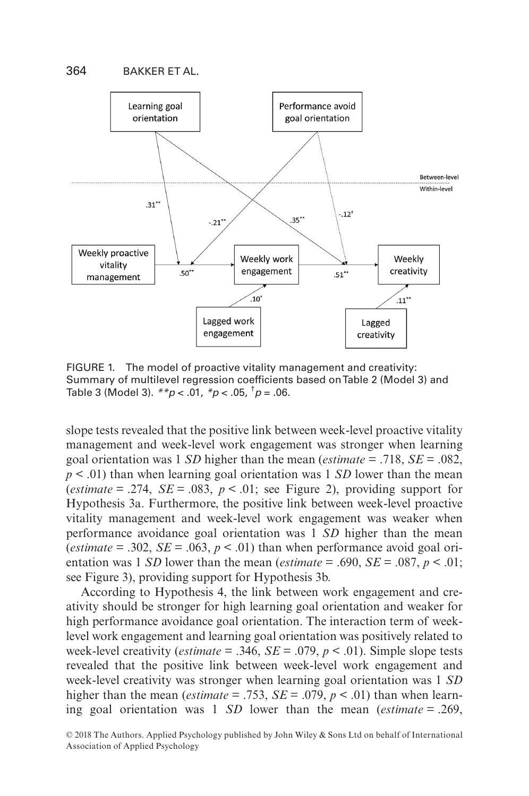

FIGURE 1. The model of proactive vitality management and creativity: Summary of multilevel regression coefficients based on Table 2 (Model 3) and Table 3 (Model 3). *\*\*p* < .01, *\*p* < .05, † *p* = .06.

slope tests revealed that the positive link between week-level proactive vitality management and week-level work engagement was stronger when learning goal orientation was 1 *SD* higher than the mean (*estimate* = .718, *SE* = .082,  $p \leq 0.01$ ) than when learning goal orientation was 1 *SD* lower than the mean (*estimate* = .274,  $SE = .083$ ,  $p < .01$ ; see Figure 2), providing support for Hypothesis 3a. Furthermore, the positive link between week-level proactive vitality management and week-level work engagement was weaker when performance avoidance goal orientation was 1 *SD* higher than the mean (*estimate* = .302,  $SE = .063$ ,  $p < .01$ ) than when performance avoid goal orientation was 1 *SD* lower than the mean (*estimate* = .690, *SE* = .087, *p* < .01; see Figure 3), providing support for Hypothesis 3b.

According to Hypothesis 4, the link between work engagement and creativity should be stronger for high learning goal orientation and weaker for high performance avoidance goal orientation. The interaction term of weeklevel work engagement and learning goal orientation was positively related to week-level creativity (*estimate* = .346, *SE* = .079, *p* < .01). Simple slope tests revealed that the positive link between week-level work engagement and week-level creativity was stronger when learning goal orientation was 1 *SD* higher than the mean (*estimate* = .753,  $SE = .079$ ,  $p < .01$ ) than when learning goal orientation was 1 *SD* lower than the mean (*estimate* = .269,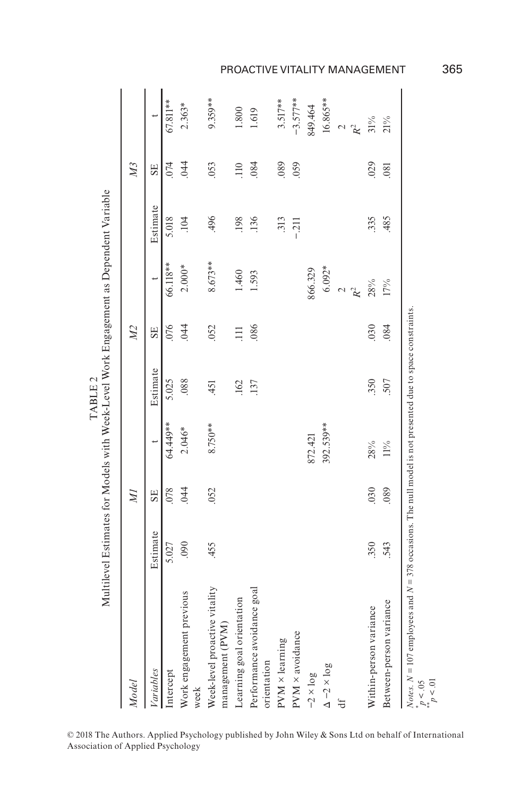| $\ddot{\phantom{a}}$ |
|----------------------|
|----------------------|

| Model                                             |          | Z    |           |          | M <sub>2</sub> |                        |          | $\mathbb{Z}$     |                                 |
|---------------------------------------------------|----------|------|-----------|----------|----------------|------------------------|----------|------------------|---------------------------------|
| Variables                                         | Estimate | SE   |           | Estimate | SE             |                        | Estimate | SE               |                                 |
| Intercept                                         | 5.027    | .078 | 64.449**  | 5.025    | 076            | 66.118**               | 5.018    | 074              | 67.811**                        |
| at previous<br>Work engagemer<br>week             | .090     | 044  | $2.046*$  | .088     | 044            | $2.000*$               | 104      | 044              | $2.363*$                        |
| Week-level proactive vitality<br>management (PVM) | .455     | .052 | $8.750**$ | 451      | .052           | 8.673**                | 496      | .053             | 9.359**                         |
| Learning goal orientation                         |          |      |           | .162     | Ę              | 1.460                  | 198      | $\overline{110}$ | 1.800                           |
| Performance avoidance goal<br>orientation         |          |      |           | .137     | .086           | 1.593                  | .136     | .084             | 1.619                           |
| $PVM \times learning$                             |          |      |           |          |                |                        | .313     | .089             | $3.517**$                       |
| PVM × avoidance                                   |          |      |           |          |                |                        | $-211$   | 059              | $-3.577***$                     |
| $-2 \times log$                                   |          |      | 872.421   |          |                | 866.329                |          |                  | 849.464                         |
| $-2 \times \log$                                  |          |      | 392.539** |          |                | $6.092*$               |          |                  | 16.865**                        |
|                                                   |          |      |           |          |                | $\mathcal{L}$<br>$R^2$ |          |                  | $\mathcal{L}$<br>$\mathbb{R}^2$ |
| Within-person variance                            | 350      | 030  | 28%       | .350     | 030            | 28%                    | 335      | 029              | $31\%$                          |
| variance<br>Between-person                        | 543      | .089 | $11\%$    | 507      | .084           | 17%                    | 485      | .081             | $21\%$                          |

PROACTIVE VITALITY MANAGEME

365

 $\copyright$  2018 The Authors. Applied Psychology published by John Wiley & Sons Ltd on behalf of International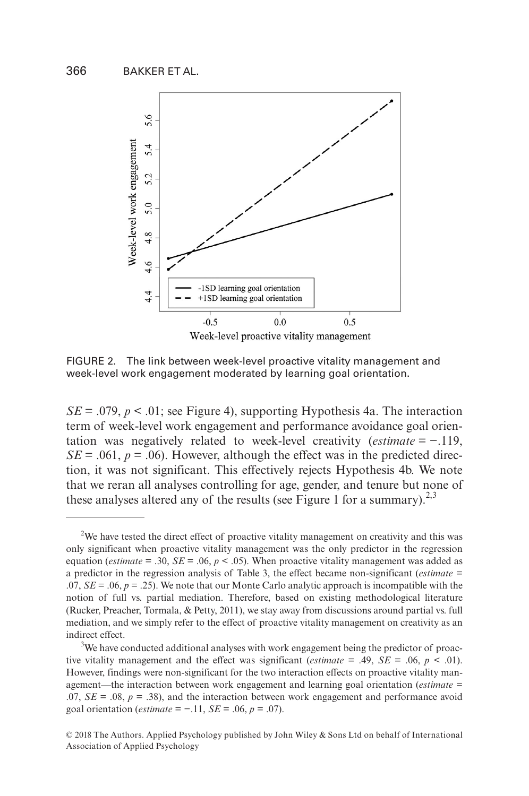

FIGURE 2. The link between week-level proactive vitality management and week-level work engagement moderated by learning goal orientation.

 $SE = .079$ ,  $p < .01$ ; see Figure 4), supporting Hypothesis 4a. The interaction term of week-level work engagement and performance avoidance goal orientation was negatively related to week-level creativity (*estimate* = −.119,  $SE = .061$ ,  $p = .06$ ). However, although the effect was in the predicted direction, it was not significant. This effectively rejects Hypothesis 4b. We note that we reran all analyses controlling for age, gender, and tenure but none of these analyses altered any of the results (see Figure 1 for a summary).<sup>2,3</sup>

 $2$ We have tested the direct effect of proactive vitality management on creativity and this was only significant when proactive vitality management was the only predictor in the regression equation (*estimate* = .30,  $SE = .06$ ,  $p < .05$ ). When proactive vitality management was added as a predictor in the regression analysis of Table 3, the effect became non-significant (*estimate* = .07, *SE* = .06, *p* = .25). We note that our Monte Carlo analytic approach is incompatible with the notion of full vs. partial mediation. Therefore, based on existing methodological literature (Rucker, Preacher, Tormala, & Petty, 2011), we stay away from discussions around partial vs. full mediation, and we simply refer to the effect of proactive vitality management on creativity as an indirect effect.

 $3$ We have conducted additional analyses with work engagement being the predictor of proactive vitality management and the effect was significant (*estimate* = .49,  $SE = .06$ ,  $p < .01$ ). However, findings were non-significant for the two interaction effects on proactive vitality management—the interaction between work engagement and learning goal orientation (*estimate* =  $.07, SE = .08, p = .38$ , and the interaction between work engagement and performance avoid goal orientation (*estimate* = −.11, *SE* = .06, *p* = .07).

<sup>© 2018</sup> The Authors. Applied Psychology published by John Wiley & Sons Ltd on behalf of International Association of Applied Psychology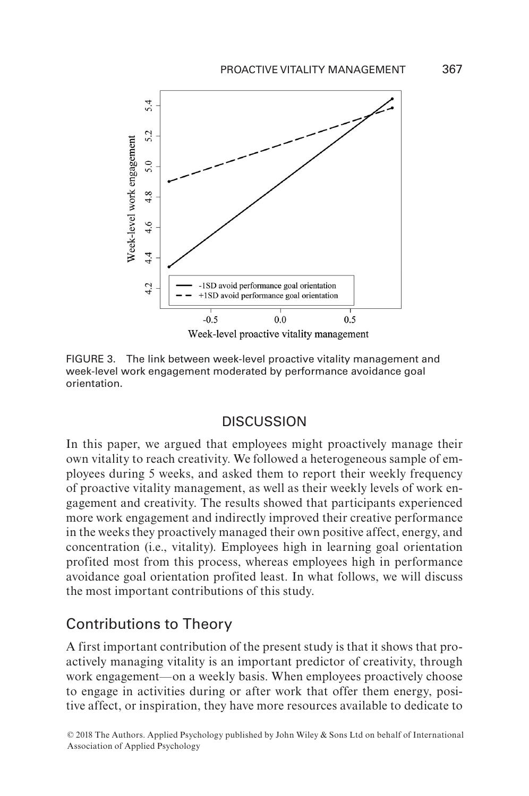

FIGURE 3. The link between week-level proactive vitality management and week-level work engagement moderated by performance avoidance goal orientation.

## **DISCUSSION**

In this paper, we argued that employees might proactively manage their own vitality to reach creativity. We followed a heterogeneous sample of employees during 5 weeks, and asked them to report their weekly frequency of proactive vitality management, as well as their weekly levels of work engagement and creativity. The results showed that participants experienced more work engagement and indirectly improved their creative performance in the weeks they proactively managed their own positive affect, energy, and concentration (i.e., vitality). Employees high in learning goal orientation profited most from this process, whereas employees high in performance avoidance goal orientation profited least. In what follows, we will discuss the most important contributions of this study.

## Contributions to Theory

A first important contribution of the present study is that it shows that proactively managing vitality is an important predictor of creativity, through work engagement—on a weekly basis. When employees proactively choose to engage in activities during or after work that offer them energy, positive affect, or inspiration, they have more resources available to dedicate to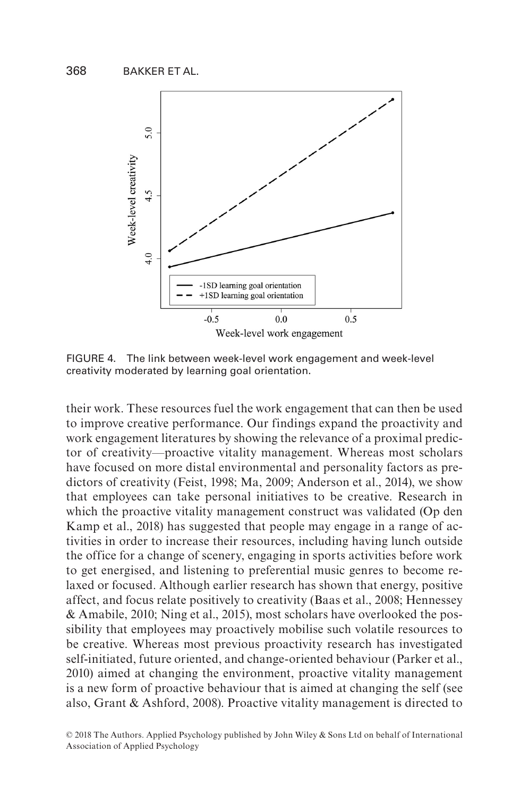

FIGURE 4. The link between week-level work engagement and week-level creativity moderated by learning goal orientation.

their work. These resources fuel the work engagement that can then be used to improve creative performance. Our findings expand the proactivity and work engagement literatures by showing the relevance of a proximal predictor of creativity—proactive vitality management. Whereas most scholars have focused on more distal environmental and personality factors as predictors of creativity (Feist, 1998; Ma, 2009; Anderson et al., 2014), we show that employees can take personal initiatives to be creative. Research in which the proactive vitality management construct was validated (Op den Kamp et al., 2018) has suggested that people may engage in a range of activities in order to increase their resources, including having lunch outside the office for a change of scenery, engaging in sports activities before work to get energised, and listening to preferential music genres to become relaxed or focused. Although earlier research has shown that energy, positive affect, and focus relate positively to creativity (Baas et al., 2008; Hennessey & Amabile, 2010; Ning et al., 2015), most scholars have overlooked the possibility that employees may proactively mobilise such volatile resources to be creative. Whereas most previous proactivity research has investigated self-initiated, future oriented, and change-oriented behaviour (Parker et al., 2010) aimed at changing the environment, proactive vitality management is a new form of proactive behaviour that is aimed at changing the self (see also, Grant & Ashford, 2008). Proactive vitality management is directed to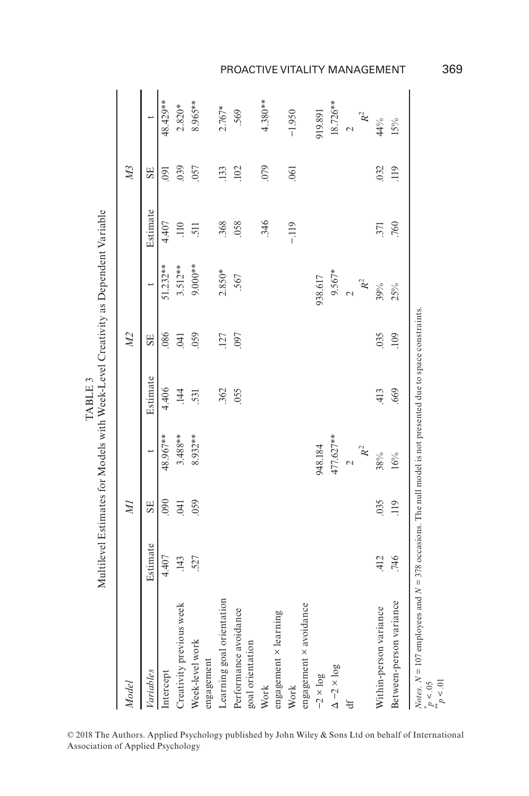| Model                             |          | $\sum$ |                |          | M <sub>2</sub> |                |                 | M <sup>3</sup> |                |
|-----------------------------------|----------|--------|----------------|----------|----------------|----------------|-----------------|----------------|----------------|
| Variables                         | Estimate | SE     |                | Estimate | SE             |                | Estimate        | SE             | ÷              |
| Intercept                         | 4.407    | 090    | 48.967**       | 4.406    | 086            | $51.232***$    | 4.407           | $-091$         | 48.429**       |
| Creativity previous week          | .143     | .041   | $3.488***$     | .144     | .041           | $3.512**$      | 110             | .039           | $2.820*$       |
| Week-level work                   | 527      | .059   | 8.932**        | 531      | 059            | 9.000**        | $\overline{5}1$ | .057           | 8.965**        |
| engagement                        |          |        |                |          |                |                |                 |                |                |
| ientation<br>Learning goal or     |          |        |                | .362     | .127           | $2.850*$       | .368            | .133           | $2.767*$       |
| Performance avoidance             |          |        |                | .055     | <b>C60</b>     | 567            | .058            | .102           | .569           |
| goal orientation                  |          |        |                |          |                |                |                 |                |                |
| Work                              |          |        |                |          |                |                | 346             | 079            | $4.380**$      |
| engagement × learning             |          |        |                |          |                |                |                 |                |                |
| Work                              |          |        |                |          |                |                | $-119$          | .061           | $-1.950$       |
| oidance<br>$engagement \times av$ |          |        |                |          |                |                |                 |                |                |
| $-2 \times log$                   |          |        | 948.184        |          |                | 938.617        |                 |                | 919.891        |
| $\Delta - 2 \times \log$          |          |        | 477.627**      |          |                | $9.567*$       |                 |                | 18.726**       |
|                                   |          |        | $\sim$         |          |                | $\overline{c}$ |                 |                | $\sim$         |
|                                   |          |        | $\mathbb{R}^2$ |          |                | $R^2$          |                 |                | $\mathbb{R}^2$ |
| Within-person variance            | 412      | 035    | 38%            | 413      | .035           | 39%            | .371            | .032           | 44%            |
| variance<br>Between-person        | 746      | 119    | $16\%$         | 669      | 109            | 25%            | 760             | 119            | 15%            |

© 2018 The Authors. Applied Psychology published by John Wiley & Sons Ltd on behalf of International

369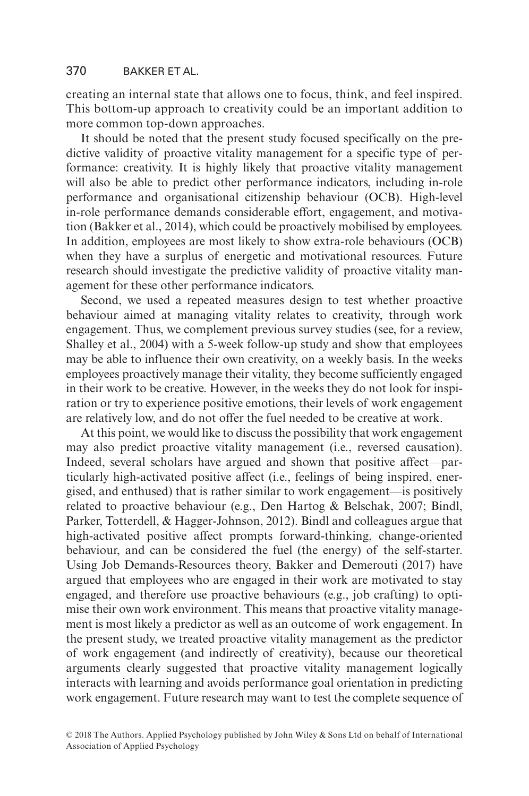creating an internal state that allows one to focus, think, and feel inspired. This bottom-up approach to creativity could be an important addition to more common top-down approaches.

It should be noted that the present study focused specifically on the predictive validity of proactive vitality management for a specific type of performance: creativity. It is highly likely that proactive vitality management will also be able to predict other performance indicators, including in-role performance and organisational citizenship behaviour (OCB). High-level in-role performance demands considerable effort, engagement, and motivation (Bakker et al., 2014), which could be proactively mobilised by employees. In addition, employees are most likely to show extra-role behaviours (OCB) when they have a surplus of energetic and motivational resources. Future research should investigate the predictive validity of proactive vitality management for these other performance indicators.

Second, we used a repeated measures design to test whether proactive behaviour aimed at managing vitality relates to creativity, through work engagement. Thus, we complement previous survey studies (see, for a review, Shalley et al., 2004) with a 5-week follow-up study and show that employees may be able to influence their own creativity, on a weekly basis. In the weeks employees proactively manage their vitality, they become sufficiently engaged in their work to be creative. However, in the weeks they do not look for inspiration or try to experience positive emotions, their levels of work engagement are relatively low, and do not offer the fuel needed to be creative at work.

At this point, we would like to discuss the possibility that work engagement may also predict proactive vitality management (i.e., reversed causation). Indeed, several scholars have argued and shown that positive affect—particularly high-activated positive affect (i.e., feelings of being inspired, energised, and enthused) that is rather similar to work engagement—is positively related to proactive behaviour (e.g., Den Hartog & Belschak, 2007; Bindl, Parker, Totterdell, & Hagger-Johnson, 2012). Bindl and colleagues argue that high-activated positive affect prompts forward-thinking, change-oriented behaviour, and can be considered the fuel (the energy) of the self-starter. Using Job Demands-Resources theory, Bakker and Demerouti (2017) have argued that employees who are engaged in their work are motivated to stay engaged, and therefore use proactive behaviours (e.g., job crafting) to optimise their own work environment. This means that proactive vitality management is most likely a predictor as well as an outcome of work engagement. In the present study, we treated proactive vitality management as the predictor of work engagement (and indirectly of creativity), because our theoretical arguments clearly suggested that proactive vitality management logically interacts with learning and avoids performance goal orientation in predicting work engagement. Future research may want to test the complete sequence of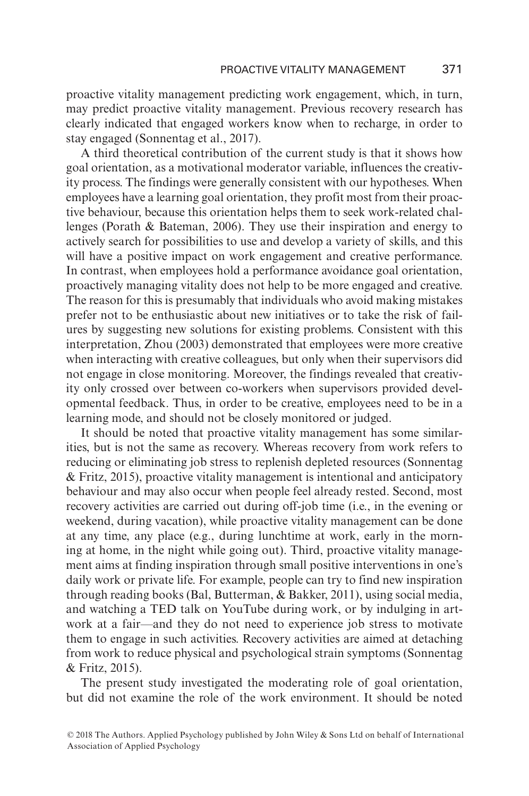proactive vitality management predicting work engagement, which, in turn, may predict proactive vitality management. Previous recovery research has clearly indicated that engaged workers know when to recharge, in order to stay engaged (Sonnentag et al., 2017).

A third theoretical contribution of the current study is that it shows how goal orientation, as a motivational moderator variable, influences the creativity process. The findings were generally consistent with our hypotheses. When employees have a learning goal orientation, they profit most from their proactive behaviour, because this orientation helps them to seek work-related challenges (Porath & Bateman, 2006). They use their inspiration and energy to actively search for possibilities to use and develop a variety of skills, and this will have a positive impact on work engagement and creative performance. In contrast, when employees hold a performance avoidance goal orientation, proactively managing vitality does not help to be more engaged and creative. The reason for this is presumably that individuals who avoid making mistakes prefer not to be enthusiastic about new initiatives or to take the risk of failures by suggesting new solutions for existing problems. Consistent with this interpretation, Zhou (2003) demonstrated that employees were more creative when interacting with creative colleagues, but only when their supervisors did not engage in close monitoring. Moreover, the findings revealed that creativity only crossed over between co-workers when supervisors provided developmental feedback. Thus, in order to be creative, employees need to be in a learning mode, and should not be closely monitored or judged.

It should be noted that proactive vitality management has some similarities, but is not the same as recovery. Whereas recovery from work refers to reducing or eliminating job stress to replenish depleted resources (Sonnentag & Fritz, 2015), proactive vitality management is intentional and anticipatory behaviour and may also occur when people feel already rested. Second, most recovery activities are carried out during off-job time (i.e., in the evening or weekend, during vacation), while proactive vitality management can be done at any time, any place (e.g., during lunchtime at work, early in the morning at home, in the night while going out). Third, proactive vitality management aims at finding inspiration through small positive interventions in one's daily work or private life. For example, people can try to find new inspiration through reading books (Bal, Butterman, & Bakker, 2011), using social media, and watching a TED talk on YouTube during work, or by indulging in artwork at a fair—and they do not need to experience job stress to motivate them to engage in such activities. Recovery activities are aimed at detaching from work to reduce physical and psychological strain symptoms (Sonnentag & Fritz, 2015).

The present study investigated the moderating role of goal orientation, but did not examine the role of the work environment. It should be noted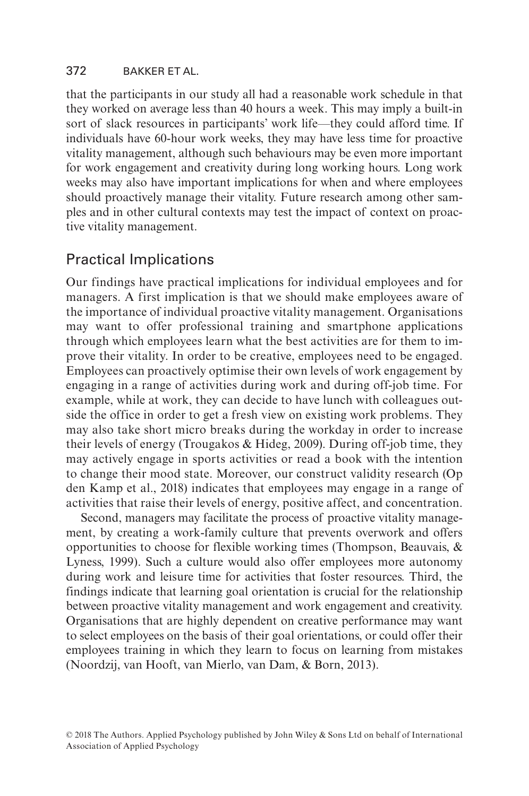that the participants in our study all had a reasonable work schedule in that they worked on average less than 40 hours a week. This may imply a built-in sort of slack resources in participants' work life—they could afford time. If individuals have 60-hour work weeks, they may have less time for proactive vitality management, although such behaviours may be even more important for work engagement and creativity during long working hours. Long work weeks may also have important implications for when and where employees should proactively manage their vitality. Future research among other samples and in other cultural contexts may test the impact of context on proactive vitality management.

## Practical Implications

Our findings have practical implications for individual employees and for managers. A first implication is that we should make employees aware of the importance of individual proactive vitality management. Organisations may want to offer professional training and smartphone applications through which employees learn what the best activities are for them to improve their vitality. In order to be creative, employees need to be engaged. Employees can proactively optimise their own levels of work engagement by engaging in a range of activities during work and during off-job time. For example, while at work, they can decide to have lunch with colleagues outside the office in order to get a fresh view on existing work problems. They may also take short micro breaks during the workday in order to increase their levels of energy (Trougakos & Hideg, 2009). During off-job time, they may actively engage in sports activities or read a book with the intention to change their mood state. Moreover, our construct validity research (Op den Kamp et al., 2018) indicates that employees may engage in a range of activities that raise their levels of energy, positive affect, and concentration.

Second, managers may facilitate the process of proactive vitality management, by creating a work-family culture that prevents overwork and offers opportunities to choose for flexible working times (Thompson, Beauvais, & Lyness, 1999). Such a culture would also offer employees more autonomy during work and leisure time for activities that foster resources. Third, the findings indicate that learning goal orientation is crucial for the relationship between proactive vitality management and work engagement and creativity. Organisations that are highly dependent on creative performance may want to select employees on the basis of their goal orientations, or could offer their employees training in which they learn to focus on learning from mistakes (Noordzij, van Hooft, van Mierlo, van Dam, & Born, 2013).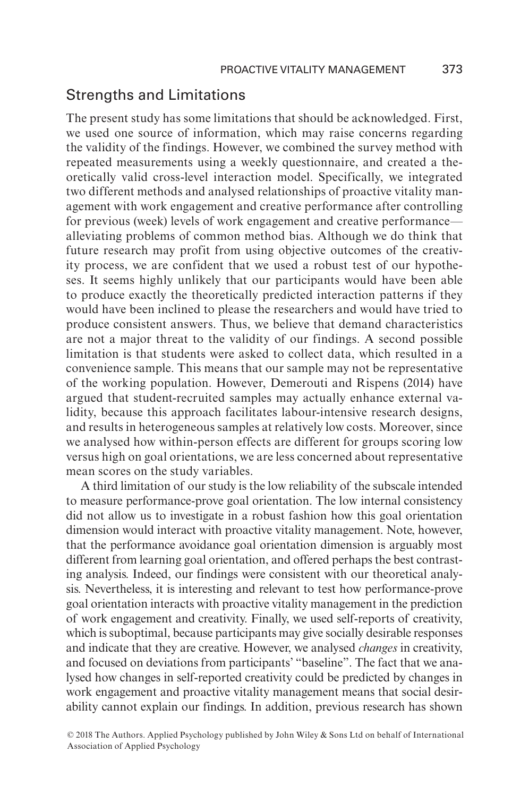### Strengths and Limitations

The present study has some limitations that should be acknowledged. First, we used one source of information, which may raise concerns regarding the validity of the findings. However, we combined the survey method with repeated measurements using a weekly questionnaire, and created a theoretically valid cross-level interaction model. Specifically, we integrated two different methods and analysed relationships of proactive vitality management with work engagement and creative performance after controlling for previous (week) levels of work engagement and creative performance alleviating problems of common method bias. Although we do think that future research may profit from using objective outcomes of the creativity process, we are confident that we used a robust test of our hypotheses. It seems highly unlikely that our participants would have been able to produce exactly the theoretically predicted interaction patterns if they would have been inclined to please the researchers and would have tried to produce consistent answers. Thus, we believe that demand characteristics are not a major threat to the validity of our findings. A second possible limitation is that students were asked to collect data, which resulted in a convenience sample. This means that our sample may not be representative of the working population. However, Demerouti and Rispens (2014) have argued that student-recruited samples may actually enhance external validity, because this approach facilitates labour-intensive research designs, and results in heterogeneous samples at relatively low costs. Moreover, since we analysed how within-person effects are different for groups scoring low versus high on goal orientations, we are less concerned about representative mean scores on the study variables.

A third limitation of our study is the low reliability of the subscale intended to measure performance-prove goal orientation. The low internal consistency did not allow us to investigate in a robust fashion how this goal orientation dimension would interact with proactive vitality management. Note, however, that the performance avoidance goal orientation dimension is arguably most different from learning goal orientation, and offered perhaps the best contrasting analysis. Indeed, our findings were consistent with our theoretical analysis. Nevertheless, it is interesting and relevant to test how performance-prove goal orientation interacts with proactive vitality management in the prediction of work engagement and creativity. Finally, we used self-reports of creativity, which is suboptimal, because participants may give socially desirable responses and indicate that they are creative. However, we analysed *changes* in creativity, and focused on deviations from participants' "baseline". The fact that we analysed how changes in self-reported creativity could be predicted by changes in work engagement and proactive vitality management means that social desirability cannot explain our findings. In addition, previous research has shown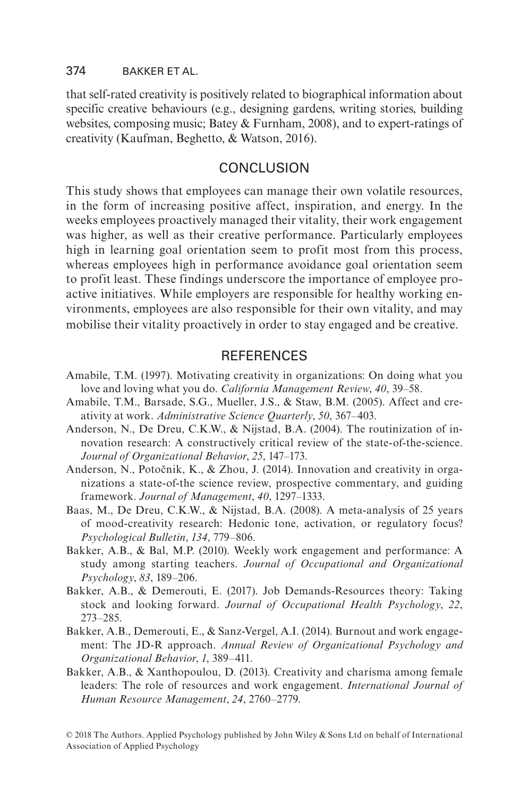that self-rated creativity is positively related to biographical information about specific creative behaviours (e.g., designing gardens, writing stories, building websites, composing music; Batey & Furnham, 2008), and to expert-ratings of creativity (Kaufman, Beghetto, & Watson, 2016).

### **CONCLUSION**

This study shows that employees can manage their own volatile resources, in the form of increasing positive affect, inspiration, and energy. In the weeks employees proactively managed their vitality, their work engagement was higher, as well as their creative performance. Particularly employees high in learning goal orientation seem to profit most from this process, whereas employees high in performance avoidance goal orientation seem to profit least. These findings underscore the importance of employee proactive initiatives. While employers are responsible for healthy working environments, employees are also responsible for their own vitality, and may mobilise their vitality proactively in order to stay engaged and be creative.

### **REFERENCES**

- Amabile, T.M. (1997). Motivating creativity in organizations: On doing what you love and loving what you do. *California Management Review*, *40*, 39–58.
- Amabile, T.M., Barsade, S.G., Mueller, J.S., & Staw, B.M. (2005). Affect and creativity at work. *Administrative Science Quarterly*, *50*, 367–403.
- Anderson, N., De Dreu, C.K.W., & Nijstad, B.A. (2004). The routinization of innovation research: A constructively critical review of the state-of-the-science. *Journal of Organizational Behavior*, *25*, 147–173.
- Anderson, N., Potočnik, K., & Zhou, J. (2014). Innovation and creativity in organizations a state-of-the science review, prospective commentary, and guiding framework. *Journal of Management*, *40*, 1297–1333.
- Baas, M., De Dreu, C.K.W., & Nijstad, B.A. (2008). A meta-analysis of 25 years of mood-creativity research: Hedonic tone, activation, or regulatory focus? *Psychological Bulletin*, *134*, 779–806.
- Bakker, A.B., & Bal, M.P. (2010). Weekly work engagement and performance: A study among starting teachers. *Journal of Occupational and Organizational Psychology*, *83*, 189–206.
- Bakker, A.B., & Demerouti, E. (2017). Job Demands-Resources theory: Taking stock and looking forward. *Journal of Occupational Health Psychology*, *22*, 273–285.
- Bakker, A.B., Demerouti, E., & Sanz-Vergel, A.I. (2014). Burnout and work engagement: The JD-R approach. *Annual Review of Organizational Psychology and Organizational Behavior*, *1*, 389–411.
- Bakker, A.B., & Xanthopoulou, D. (2013). Creativity and charisma among female leaders: The role of resources and work engagement. *International Journal of Human Resource Management*, *24*, 2760–2779.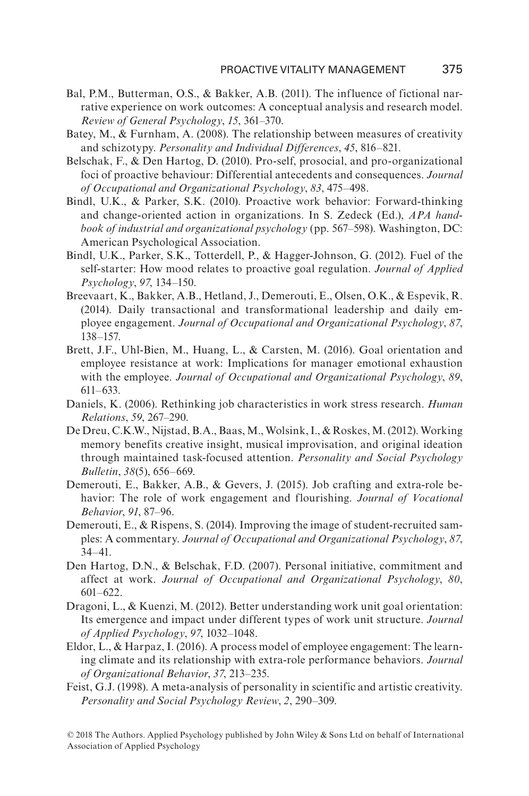- Bal, P.M., Butterman, O.S., & Bakker, A.B. (2011). The influence of fictional narrative experience on work outcomes: A conceptual analysis and research model. *Review of General Psychology*, *15*, 361–370.
- Batey, M., & Furnham, A. (2008). The relationship between measures of creativity and schizotypy. *Personality and Individual Differences*, *45*, 816–821.
- Belschak, F., & Den Hartog, D. (2010). Pro-self, prosocial, and pro-organizational foci of proactive behaviour: Differential antecedents and consequences. *Journal of Occupational and Organizational Psychology*, *83*, 475–498.
- Bindl, U.K., & Parker, S.K. (2010). Proactive work behavior: Forward-thinking and change-oriented action in organizations. In S. Zedeck (Ed.), *APA handbook of industrial and organizational psychology* (pp. 567–598). Washington, DC: American Psychological Association.
- Bindl, U.K., Parker, S.K., Totterdell, P., & Hagger-Johnson, G. (2012). Fuel of the self-starter: How mood relates to proactive goal regulation. *Journal of Applied Psychology*, *97*, 134–150.
- Breevaart, K., Bakker, A.B., Hetland, J., Demerouti, E., Olsen, O.K., & Espevik, R. (2014). Daily transactional and transformational leadership and daily employee engagement. *Journal of Occupational and Organizational Psychology*, *87*, 138–157.
- Brett, J.F., Uhl-Bien, M., Huang, L., & Carsten, M. (2016). Goal orientation and employee resistance at work: Implications for manager emotional exhaustion with the employee. *Journal of Occupational and Organizational Psychology*, *89*, 611–633.
- Daniels, K. (2006). Rethinking job characteristics in work stress research. *Human Relations*, *59*, 267–290.
- De Dreu, C.K.W., Nijstad, B.A., Baas, M., Wolsink, I., & Roskes, M. (2012). Working memory benefits creative insight, musical improvisation, and original ideation through maintained task-focused attention. *Personality and Social Psychology Bulletin*, *38*(5), 656–669.
- Demerouti, E., Bakker, A.B., & Gevers, J. (2015). Job crafting and extra-role behavior: The role of work engagement and flourishing. *Journal of Vocational Behavior*, *91*, 87–96.
- Demerouti, E., & Rispens, S. (2014). Improving the image of student-recruited samples: A commentary. *Journal of Occupational and Organizational Psychology*, *87*,  $34 - 41$ .
- Den Hartog, D.N., & Belschak, F.D. (2007). Personal initiative, commitment and affect at work. *Journal of Occupational and Organizational Psychology*, *80*, 601–622.
- Dragoni, L., & Kuenzi, M. (2012). Better understanding work unit goal orientation: Its emergence and impact under different types of work unit structure. *Journal of Applied Psychology*, *97*, 1032–1048.
- Eldor, L., & Harpaz, I. (2016). A process model of employee engagement: The learning climate and its relationship with extra-role performance behaviors. *Journal of Organizational Behavior*, *37*, 213–235.
- Feist, G.J. (1998). A meta-analysis of personality in scientific and artistic creativity. *Personality and Social Psychology Review*, *2*, 290–309.

© 2018 The Authors. Applied Psychology published by John Wiley & Sons Ltd on behalf of International Association of Applied Psychology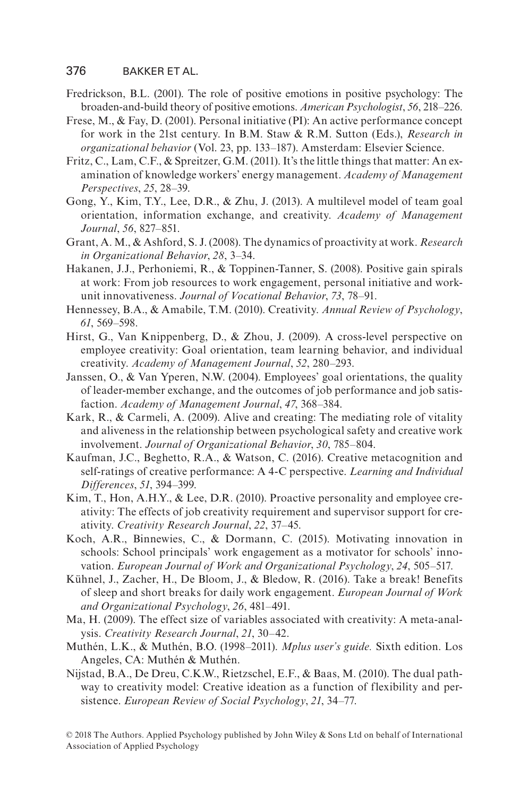- Fredrickson, B.L. (2001). The role of positive emotions in positive psychology: The broaden-and-build theory of positive emotions. *American Psychologist*, *56*, 218–226.
- Frese, M., & Fay, D. (2001). Personal initiative (PI): An active performance concept for work in the 21st century. In B.M. Staw & R.M. Sutton (Eds.), *Research in organizational behavior* (Vol. 23, pp. 133–187). Amsterdam: Elsevier Science.
- Fritz, C., Lam, C.F., & Spreitzer, G.M. (2011). It's the little things that matter: An examination of knowledge workers' energy management. *Academy of Management Perspectives*, *25*, 28–39.
- Gong, Y., Kim, T.Y., Lee, D.R., & Zhu, J. (2013). A multilevel model of team goal orientation, information exchange, and creativity. *Academy of Management Journal*, *56*, 827–851.
- Grant, A. M., & Ashford, S. J. (2008). The dynamics of proactivity at work. *Research in Organizational Behavior*, *28*, 3–34.
- Hakanen, J.J., Perhoniemi, R., & Toppinen-Tanner, S. (2008). Positive gain spirals at work: From job resources to work engagement, personal initiative and workunit innovativeness. *Journal of Vocational Behavior*, *73*, 78–91.
- Hennessey, B.A., & Amabile, T.M. (2010). Creativity. *Annual Review of Psychology*, *61*, 569–598.
- Hirst, G., Van Knippenberg, D., & Zhou, J. (2009). A cross-level perspective on employee creativity: Goal orientation, team learning behavior, and individual creativity. *Academy of Management Journal*, *52*, 280–293.
- Janssen, O., & Van Yperen, N.W. (2004). Employees' goal orientations, the quality of leader-member exchange, and the outcomes of job performance and job satisfaction. *Academy of Management Journal*, *47*, 368–384.
- Kark, R., & Carmeli, A. (2009). Alive and creating: The mediating role of vitality and aliveness in the relationship between psychological safety and creative work involvement. *Journal of Organizational Behavior*, *30*, 785–804.
- Kaufman, J.C., Beghetto, R.A., & Watson, C. (2016). Creative metacognition and self-ratings of creative performance: A 4-C perspective. *Learning and Individual Differences*, *51*, 394–399.
- Kim, T., Hon, A.H.Y., & Lee, D.R. (2010). Proactive personality and employee creativity: The effects of job creativity requirement and supervisor support for creativity. *Creativity Research Journal*, *22*, 37–45.
- Koch, A.R., Binnewies, C., & Dormann, C. (2015). Motivating innovation in schools: School principals' work engagement as a motivator for schools' innovation. *European Journal of Work and Organizational Psychology*, *24*, 505–517.
- Kühnel, J., Zacher, H., De Bloom, J., & Bledow, R. (2016). Take a break! Benefits of sleep and short breaks for daily work engagement. *European Journal of Work and Organizational Psychology*, *26*, 481–491.
- Ma, H. (2009). The effect size of variables associated with creativity: A meta-analysis. *Creativity Research Journal*, *21*, 30–42.
- Muthén, L.K., & Muthén, B.O. (1998–2011). *Mplus user's guide.* Sixth edition. Los Angeles, CA: Muthén & Muthén.
- Nijstad, B.A., De Dreu, C.K.W., Rietzschel, E.F., & Baas, M. (2010). The dual pathway to creativity model: Creative ideation as a function of flexibility and persistence. *European Review of Social Psychology*, *21*, 34–77.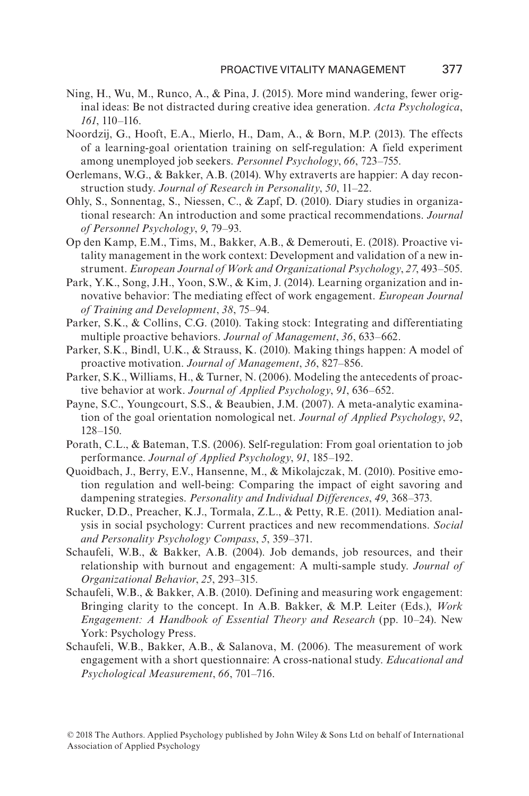- Ning, H., Wu, M., Runco, A., & Pina, J. (2015). More mind wandering, fewer original ideas: Be not distracted during creative idea generation. *Acta Psychologica*, *161*, 110–116.
- Noordzij, G., Hooft, E.A., Mierlo, H., Dam, A., & Born, M.P. (2013). The effects of a learning-goal orientation training on self-regulation: A field experiment among unemployed job seekers. *Personnel Psychology*, *66*, 723–755.
- Oerlemans, W.G., & Bakker, A.B. (2014). Why extraverts are happier: A day reconstruction study. *Journal of Research in Personality*, *50*, 11–22.
- Ohly, S., Sonnentag, S., Niessen, C., & Zapf, D. (2010). Diary studies in organizational research: An introduction and some practical recommendations. *Journal of Personnel Psychology*, *9*, 79–93.
- Op den Kamp, E.M., Tims, M., Bakker, A.B., & Demerouti, E. (2018). Proactive vitality management in the work context: Development and validation of a new instrument. *European Journal of Work and Organizational Psychology*, *27*, 493–505.
- Park, Y.K., Song, J.H., Yoon, S.W., & Kim, J. (2014). Learning organization and innovative behavior: The mediating effect of work engagement. *European Journal of Training and Development*, *38*, 75–94.
- Parker, S.K., & Collins, C.G. (2010). Taking stock: Integrating and differentiating multiple proactive behaviors. *Journal of Management*, *36*, 633–662.
- Parker, S.K., Bindl, U.K., & Strauss, K. (2010). Making things happen: A model of proactive motivation. *Journal of Management*, *36*, 827–856.
- Parker, S.K., Williams, H., & Turner, N. (2006). Modeling the antecedents of proactive behavior at work. *Journal of Applied Psychology*, *91*, 636–652.
- Payne, S.C., Youngcourt, S.S., & Beaubien, J.M. (2007). A meta-analytic examination of the goal orientation nomological net. *Journal of Applied Psychology*, *92*, 128–150.
- Porath, C.L., & Bateman, T.S. (2006). Self-regulation: From goal orientation to job performance. *Journal of Applied Psychology*, *91*, 185–192.
- Quoidbach, J., Berry, E.V., Hansenne, M., & Mikolajczak, M. (2010). Positive emotion regulation and well-being: Comparing the impact of eight savoring and dampening strategies. *Personality and Individual Differences*, *49*, 368–373.
- Rucker, D.D., Preacher, K.J., Tormala, Z.L., & Petty, R.E. (2011). Mediation analysis in social psychology: Current practices and new recommendations. *Social and Personality Psychology Compass*, *5*, 359–371.
- Schaufeli, W.B., & Bakker, A.B. (2004). Job demands, job resources, and their relationship with burnout and engagement: A multi-sample study. *Journal of Organizational Behavior*, *25*, 293–315.
- Schaufeli, W.B., & Bakker, A.B. (2010). Defining and measuring work engagement: Bringing clarity to the concept. In A.B. Bakker, & M.P. Leiter (Eds.), *Work Engagement: A Handbook of Essential Theory and Research* (pp. 10–24). New York: Psychology Press.
- Schaufeli, W.B., Bakker, A.B., & Salanova, M. (2006). The measurement of work engagement with a short questionnaire: A cross-national study. *Educational and Psychological Measurement*, *66*, 701–716.